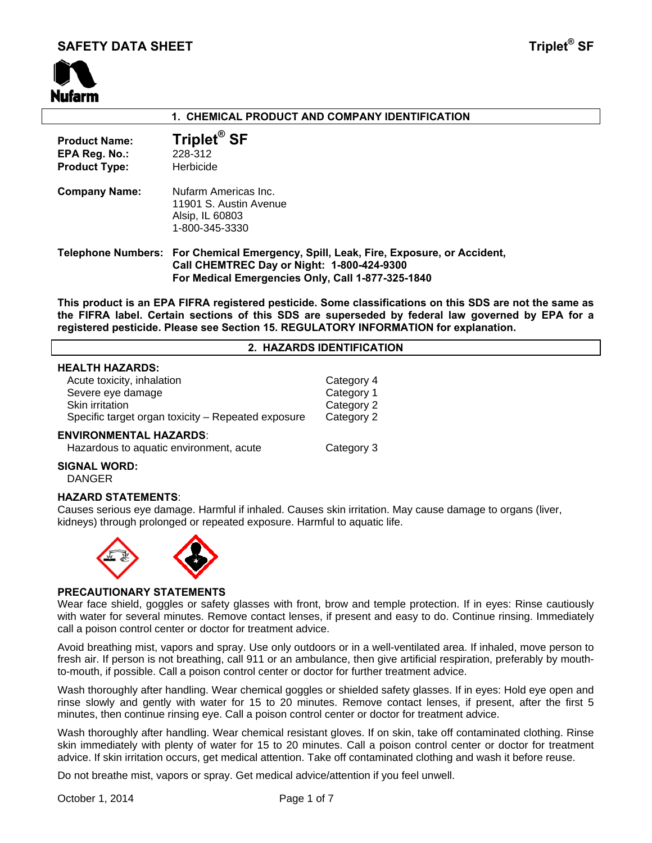# **SAFETY DATA SHEET Triplet<sup>®</sup> SF**



# **1. CHEMICAL PRODUCT AND COMPANY IDENTIFICATION**

| <b>Product Name:</b><br>EPA Reg. No.:<br><b>Product Type:</b> | Triplet <sup>®</sup> SF<br>228-312<br>Herbicide                                                                 |
|---------------------------------------------------------------|-----------------------------------------------------------------------------------------------------------------|
| <b>Company Name:</b>                                          | Nufarm Americas Inc.<br>11901 S. Austin Avenue<br>Alsip, IL 60803<br>1-800-345-3330                             |
|                                                               | Telephone Numbers: For Chemical Emergency, Spill, Leak, Fire, Exp<br>Call CHEMTREC Day or Night: 1-800-424-9300 |

**For Medical Emergencies Only, Call 1-877-325-1840** 

**This product is an EPA FIFRA registered pesticide. Some classifications on this SDS are not the same as the FIFRA label. Certain sections of this SDS are superseded by federal law governed by EPA for a registered pesticide. Please see Section 15. REGULATORY INFORMATION for explanation.**

**Exposure, or Accident,** 

#### **2. HAZARDS IDENTIFICATION**

#### **HEALTH HAZARDS:**

| Acute toxicity, inhalation                         | Category 4 |
|----------------------------------------------------|------------|
| Severe eye damage                                  | Category 1 |
| Skin irritation                                    | Category 2 |
| Specific target organ toxicity - Repeated exposure | Category 2 |
|                                                    |            |

#### **ENVIRONMENTAL HAZARDS**:

# **SIGNAL WORD:**

DANGER

#### **HAZARD STATEMENTS**:

Causes serious eye damage. Harmful if inhaled. Causes skin irritation. May cause damage to organs (liver, kidneys) through prolonged or repeated exposure. Harmful to aquatic life.



## **PRECAUTIONARY STATEMENTS**

Wear face shield, goggles or safety glasses with front, brow and temple protection. If in eyes: Rinse cautiously with water for several minutes. Remove contact lenses, if present and easy to do. Continue rinsing. Immediately call a poison control center or doctor for treatment advice.

Avoid breathing mist, vapors and spray. Use only outdoors or in a well-ventilated area. If inhaled, move person to fresh air. If person is not breathing, call 911 or an ambulance, then give artificial respiration, preferably by mouthto-mouth, if possible. Call a poison control center or doctor for further treatment advice.

Wash thoroughly after handling. Wear chemical goggles or shielded safety glasses. If in eyes: Hold eye open and rinse slowly and gently with water for 15 to 20 minutes. Remove contact lenses, if present, after the first 5 minutes, then continue rinsing eye. Call a poison control center or doctor for treatment advice.

Wash thoroughly after handling. Wear chemical resistant gloves. If on skin, take off contaminated clothing. Rinse skin immediately with plenty of water for 15 to 20 minutes. Call a poison control center or doctor for treatment advice. If skin irritation occurs, get medical attention. Take off contaminated clothing and wash it before reuse.

Do not breathe mist, vapors or spray. Get medical advice/attention if you feel unwell.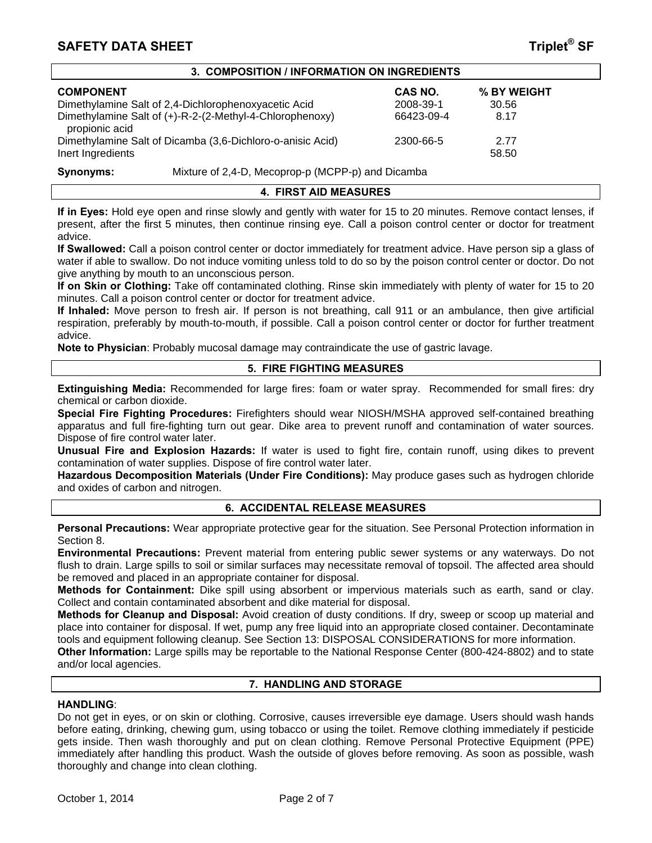# **SAFETY DATA SHEET** THE SECOND STATE  $\mathbf{S}$  and  $\mathbf{S}$  is the second state  $\mathbf{S}$  is the second state  $\mathbf{S}$

| 3. COMPOSITION / INFORMATION ON INGREDIENTS |
|---------------------------------------------|
|---------------------------------------------|

| <b>COMPONENT</b>                                                           | <b>CAS NO.</b> | % BY WEIGHT |
|----------------------------------------------------------------------------|----------------|-------------|
| Dimethylamine Salt of 2,4-Dichlorophenoxyacetic Acid                       | 2008-39-1      | 30.56       |
| Dimethylamine Salt of (+)-R-2-(2-Methyl-4-Chlorophenoxy)<br>propionic acid | 66423-09-4     | 8.17        |
| Dimethylamine Salt of Dicamba (3,6-Dichloro-o-anisic Acid)                 | 2300-66-5      | 2.77        |
| Inert Ingredients                                                          |                | 58.50       |

**Synonyms:** Mixture of 2,4-D, Mecoprop-p (MCPP-p) and Dicamba

## **4. FIRST AID MEASURES**

**If in Eyes:** Hold eye open and rinse slowly and gently with water for 15 to 20 minutes. Remove contact lenses, if present, after the first 5 minutes, then continue rinsing eye. Call a poison control center or doctor for treatment advice.

**If Swallowed:** Call a poison control center or doctor immediately for treatment advice. Have person sip a glass of water if able to swallow. Do not induce vomiting unless told to do so by the poison control center or doctor. Do not give anything by mouth to an unconscious person.

**If on Skin or Clothing:** Take off contaminated clothing. Rinse skin immediately with plenty of water for 15 to 20 minutes. Call a poison control center or doctor for treatment advice.

**If Inhaled:** Move person to fresh air. If person is not breathing, call 911 or an ambulance, then give artificial respiration, preferably by mouth-to-mouth, if possible. Call a poison control center or doctor for further treatment advice.

**Note to Physician**: Probably mucosal damage may contraindicate the use of gastric lavage.

#### **5. FIRE FIGHTING MEASURES**

**Extinguishing Media:** Recommended for large fires: foam or water spray. Recommended for small fires: dry chemical or carbon dioxide.

**Special Fire Fighting Procedures:** Firefighters should wear NIOSH/MSHA approved self-contained breathing apparatus and full fire-fighting turn out gear. Dike area to prevent runoff and contamination of water sources. Dispose of fire control water later.

**Unusual Fire and Explosion Hazards:** If water is used to fight fire, contain runoff, using dikes to prevent contamination of water supplies. Dispose of fire control water later.

**Hazardous Decomposition Materials (Under Fire Conditions):** May produce gases such as hydrogen chloride and oxides of carbon and nitrogen.

#### **6. ACCIDENTAL RELEASE MEASURES**

**Personal Precautions:** Wear appropriate protective gear for the situation. See Personal Protection information in Section 8.

**Environmental Precautions:** Prevent material from entering public sewer systems or any waterways. Do not flush to drain. Large spills to soil or similar surfaces may necessitate removal of topsoil. The affected area should be removed and placed in an appropriate container for disposal.

**Methods for Containment:** Dike spill using absorbent or impervious materials such as earth, sand or clay. Collect and contain contaminated absorbent and dike material for disposal.

**Methods for Cleanup and Disposal:** Avoid creation of dusty conditions. If dry, sweep or scoop up material and place into container for disposal. If wet, pump any free liquid into an appropriate closed container. Decontaminate tools and equipment following cleanup. See Section 13: DISPOSAL CONSIDERATIONS for more information.

**Other Information:** Large spills may be reportable to the National Response Center (800-424-8802) and to state and/or local agencies.

# **7. HANDLING AND STORAGE**

#### **HANDLING**:

Do not get in eyes, or on skin or clothing. Corrosive, causes irreversible eye damage. Users should wash hands before eating, drinking, chewing gum, using tobacco or using the toilet. Remove clothing immediately if pesticide gets inside. Then wash thoroughly and put on clean clothing. Remove Personal Protective Equipment (PPE) immediately after handling this product. Wash the outside of gloves before removing. As soon as possible, wash thoroughly and change into clean clothing.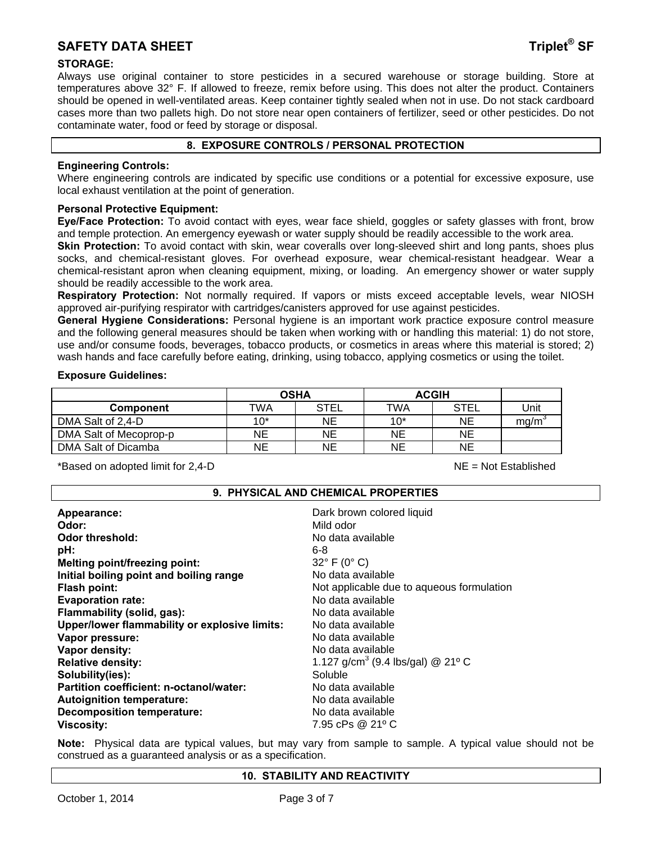# **SAFETY DATA SHEET Triplet<sup>®</sup> SF**

# **STORAGE:**

Always use original container to store pesticides in a secured warehouse or storage building. Store at temperatures above 32° F. If allowed to freeze, remix before using. This does not alter the product. Containers should be opened in well-ventilated areas. Keep container tightly sealed when not in use. Do not stack cardboard cases more than two pallets high. Do not store near open containers of fertilizer, seed or other pesticides. Do not contaminate water, food or feed by storage or disposal.

#### **8. EXPOSURE CONTROLS / PERSONAL PROTECTION**

## **Engineering Controls:**

Where engineering controls are indicated by specific use conditions or a potential for excessive exposure, use local exhaust ventilation at the point of generation.

## **Personal Protective Equipment:**

**Eye/Face Protection:** To avoid contact with eyes, wear face shield, goggles or safety glasses with front, brow and temple protection. An emergency eyewash or water supply should be readily accessible to the work area.

**Skin Protection:** To avoid contact with skin, wear coveralls over long-sleeved shirt and long pants, shoes plus socks, and chemical-resistant gloves. For overhead exposure, wear chemical-resistant headgear. Wear a chemical-resistant apron when cleaning equipment, mixing, or loading. An emergency shower or water supply should be readily accessible to the work area.

**Respiratory Protection:** Not normally required. If vapors or mists exceed acceptable levels, wear NIOSH approved air-purifying respirator with cartridges/canisters approved for use against pesticides.

**General Hygiene Considerations:** Personal hygiene is an important work practice exposure control measure and the following general measures should be taken when working with or handling this material: 1) do not store, use and/or consume foods, beverages, tobacco products, or cosmetics in areas where this material is stored; 2) wash hands and face carefully before eating, drinking, using tobacco, applying cosmetics or using the toilet.

#### **Exposure Guidelines:**

|                        | <b>OSHA</b> |             | <b>ACGIH</b> |             |      |
|------------------------|-------------|-------------|--------------|-------------|------|
| <b>Component</b>       | TWA         | <b>STEL</b> | TWA          | <b>STEL</b> | Unit |
| DMA Salt of 2,4-D      | 10*         | NE          | $10*$        | <b>NE</b>   | mq/m |
| DMA Salt of Mecoprop-p | <b>NE</b>   | ΝE          | ΝE           | NE          |      |
| DMA Salt of Dicamba    | NΕ          | ΝE          | <b>NE</b>    | NE          |      |

\*Based on adopted limit for 2,4-D NE = Not Established

# **9. PHYSICAL AND CHEMICAL PROPERTIES**

| Appearance:                                   | Dark brown colored liquid                     |
|-----------------------------------------------|-----------------------------------------------|
| Odor:                                         | Mild odor                                     |
| Odor threshold:                               | No data available                             |
| pH:                                           | 6-8                                           |
| Melting point/freezing point:                 | $32^{\circ}$ F (0° C)                         |
| Initial boiling point and boiling range       | No data available                             |
| Flash point:                                  | Not applicable due to aqueous formulation     |
| <b>Evaporation rate:</b>                      | No data available                             |
| Flammability (solid, gas):                    | No data available                             |
| Upper/lower flammability or explosive limits: | No data available                             |
| Vapor pressure:                               | No data available                             |
| Vapor density:                                | No data available                             |
| <b>Relative density:</b>                      | 1.127 g/cm <sup>3</sup> (9.4 lbs/gal) @ 21° C |
| Solubility(ies):                              | Soluble                                       |
| Partition coefficient: n-octanol/water:       | No data available                             |
| <b>Autoignition temperature:</b>              | No data available                             |
| <b>Decomposition temperature:</b>             | No data available                             |
| <b>Viscosity:</b>                             | 7.95 cPs @ 21° C                              |
|                                               |                                               |

**Note:** Physical data are typical values, but may vary from sample to sample. A typical value should not be construed as a guaranteed analysis or as a specification.

#### **10. STABILITY AND REACTIVITY**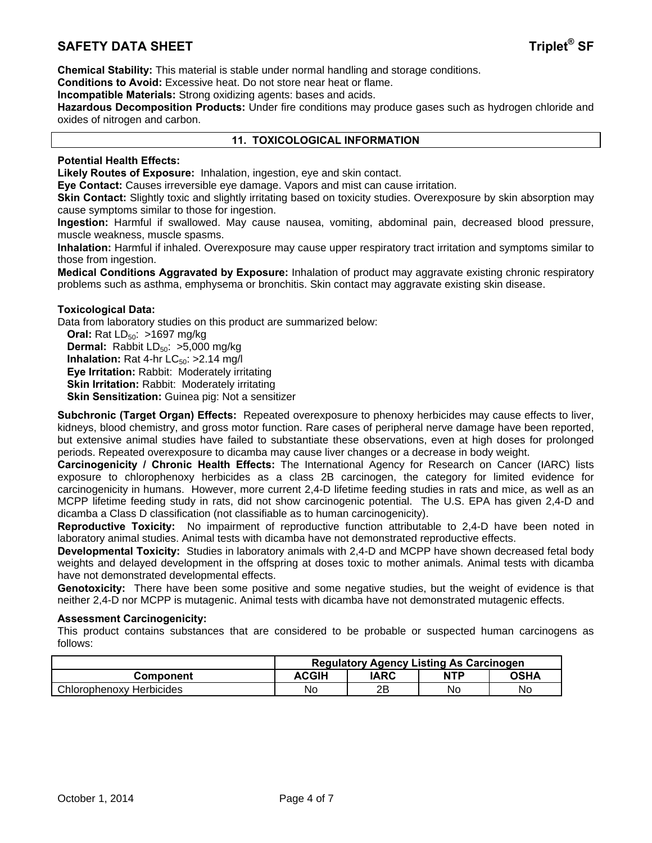# **SAFETY DATA SHEET** THE SECOND STATE  $\mathbf{S}$  and  $\mathbf{S}$  is the second of  $\mathbf{S}$  and  $\mathbf{S}$

**Chemical Stability:** This material is stable under normal handling and storage conditions.

**Conditions to Avoid:** Excessive heat. Do not store near heat or flame.

**Incompatible Materials:** Strong oxidizing agents: bases and acids.

**Hazardous Decomposition Products:** Under fire conditions may produce gases such as hydrogen chloride and oxides of nitrogen and carbon.

#### **11. TOXICOLOGICAL INFORMATION**

# **Potential Health Effects:**

**Likely Routes of Exposure:** Inhalation, ingestion, eye and skin contact.

**Eye Contact:** Causes irreversible eye damage. Vapors and mist can cause irritation.

**Skin Contact:** Slightly toxic and slightly irritating based on toxicity studies. Overexposure by skin absorption may cause symptoms similar to those for ingestion.

**Ingestion:** Harmful if swallowed. May cause nausea, vomiting, abdominal pain, decreased blood pressure, muscle weakness, muscle spasms.

**Inhalation:** Harmful if inhaled. Overexposure may cause upper respiratory tract irritation and symptoms similar to those from ingestion.

**Medical Conditions Aggravated by Exposure:** Inhalation of product may aggravate existing chronic respiratory problems such as asthma, emphysema or bronchitis. Skin contact may aggravate existing skin disease.

#### **Toxicological Data:**

Data from laboratory studies on this product are summarized below:

**Oral:** Rat LD<sub>50</sub>: >1697 mg/kg **Dermal:** Rabbit LD<sub>50</sub>: >5,000 mg/kg **Inhalation:** Rat 4-hr  $LC_{50}$ :  $>2.14$  mg/l **Eye Irritation:** Rabbit: Moderately irritating **Skin Irritation: Rabbit: Moderately irritating Skin Sensitization:** Guinea pig: Not a sensitizer

**Subchronic (Target Organ) Effects:** Repeated overexposure to phenoxy herbicides may cause effects to liver, kidneys, blood chemistry, and gross motor function. Rare cases of peripheral nerve damage have been reported, but extensive animal studies have failed to substantiate these observations, even at high doses for prolonged periods. Repeated overexposure to dicamba may cause liver changes or a decrease in body weight.

**Carcinogenicity / Chronic Health Effects:** The International Agency for Research on Cancer (IARC) lists exposure to chlorophenoxy herbicides as a class 2B carcinogen, the category for limited evidence for carcinogenicity in humans. However, more current 2,4-D lifetime feeding studies in rats and mice, as well as an MCPP lifetime feeding study in rats, did not show carcinogenic potential. The U.S. EPA has given 2,4-D and dicamba a Class D classification (not classifiable as to human carcinogenicity).

**Reproductive Toxicity:** No impairment of reproductive function attributable to 2,4-D have been noted in laboratory animal studies. Animal tests with dicamba have not demonstrated reproductive effects.

**Developmental Toxicity:** Studies in laboratory animals with 2,4-D and MCPP have shown decreased fetal body weights and delayed development in the offspring at doses toxic to mother animals. Animal tests with dicamba have not demonstrated developmental effects.

**Genotoxicity:** There have been some positive and some negative studies, but the weight of evidence is that neither 2,4-D nor MCPP is mutagenic. Animal tests with dicamba have not demonstrated mutagenic effects.

#### **Assessment Carcinogenicity:**

This product contains substances that are considered to be probable or suspected human carcinogens as follows:

|                          | <b>Regulatory Agency Listing As Carcinogen</b> |      |            |      |
|--------------------------|------------------------------------------------|------|------------|------|
| Component                | <b>ACGIH</b>                                   | IARC | <b>NTP</b> | OSHA |
| Chlorophenoxy Herbicides | No                                             | 2Β   | No         | No   |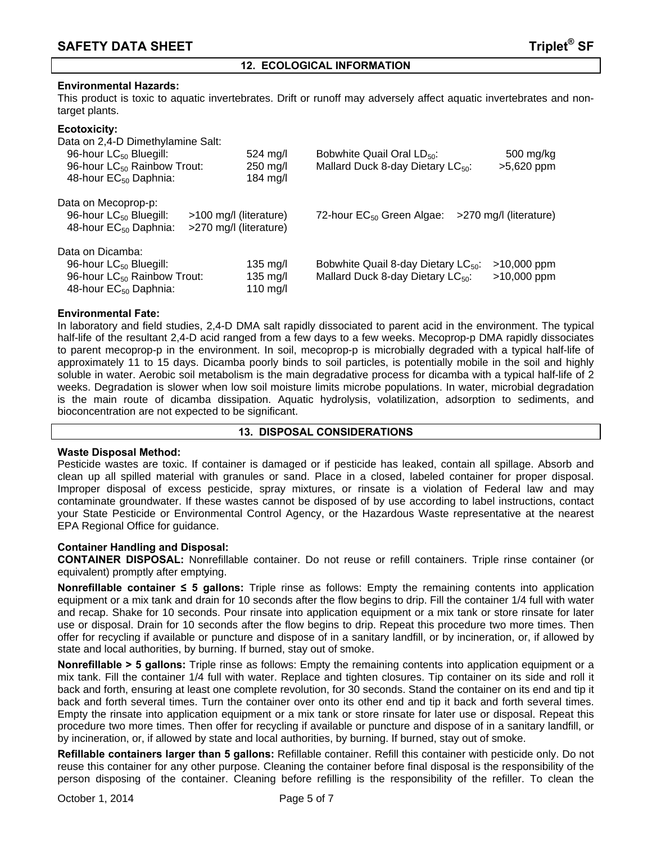# **12. ECOLOGICAL INFORMATION**

# **Environmental Hazards:**

This product is toxic to aquatic invertebrates. Drift or runoff may adversely affect aquatic invertebrates and nontarget plants.

# **Ecotoxicity:**

Data on 2,4-D Dimethylamine Salt:

| 96-hour LC <sub>50</sub> Bluegill:<br>96-hour LC <sub>50</sub> Rainbow Trout:<br>48-hour EC <sub>50</sub> Daphnia:                     | $524 \text{ mg/l}$<br>250 mg/l<br>184 mg/l       | Bobwhite Quail Oral LD <sub>50</sub> :<br>Mallard Duck 8-day Dietary LC <sub>50</sub> :          | 500 mg/kg<br>>5,620 ppm      |
|----------------------------------------------------------------------------------------------------------------------------------------|--------------------------------------------------|--------------------------------------------------------------------------------------------------|------------------------------|
| Data on Mecoprop-p:<br>96-hour LC <sub>50</sub> Bluegill:<br>48-hour EC <sub>50</sub> Daphnia:                                         | >100 mg/l (literature)<br>>270 mg/l (literature) | 72-hour $EC_{50}$ Green Algae:                                                                   | >270 mg/l (literature)       |
| Data on Dicamba:<br>96-hour LC <sub>50</sub> Bluegill:<br>96-hour LC <sub>50</sub> Rainbow Trout:<br>48-hour EC <sub>50</sub> Daphnia: | $135 \text{ mg/l}$<br>135 mg/l<br>110 mg/l       | Bobwhite Quail 8-day Dietary LC <sub>50</sub> :<br>Mallard Duck 8-day Dietary LC <sub>50</sub> : | $>10,000$ ppm<br>>10,000 ppm |

# **Environmental Fate:**

In laboratory and field studies, 2,4-D DMA salt rapidly dissociated to parent acid in the environment. The typical half-life of the resultant 2,4-D acid ranged from a few days to a few weeks. Mecoprop-p DMA rapidly dissociates to parent mecoprop-p in the environment. In soil, mecoprop-p is microbially degraded with a typical half-life of approximately 11 to 15 days. Dicamba poorly binds to soil particles, is potentially mobile in the soil and highly soluble in water. Aerobic soil metabolism is the main degradative process for dicamba with a typical half-life of 2 weeks. Degradation is slower when low soil moisture limits microbe populations. In water, microbial degradation is the main route of dicamba dissipation. Aquatic hydrolysis, volatilization, adsorption to sediments, and bioconcentration are not expected to be significant.

#### **13. DISPOSAL CONSIDERATIONS**

#### **Waste Disposal Method:**

Pesticide wastes are toxic. If container is damaged or if pesticide has leaked, contain all spillage. Absorb and clean up all spilled material with granules or sand. Place in a closed, labeled container for proper disposal. Improper disposal of excess pesticide, spray mixtures, or rinsate is a violation of Federal law and may contaminate groundwater. If these wastes cannot be disposed of by use according to label instructions, contact your State Pesticide or Environmental Control Agency, or the Hazardous Waste representative at the nearest EPA Regional Office for guidance.

#### **Container Handling and Disposal:**

**CONTAINER DISPOSAL:** Nonrefillable container. Do not reuse or refill containers. Triple rinse container (or equivalent) promptly after emptying.

**Nonrefillable container ≤ 5 gallons:** Triple rinse as follows: Empty the remaining contents into application equipment or a mix tank and drain for 10 seconds after the flow begins to drip. Fill the container 1/4 full with water and recap. Shake for 10 seconds. Pour rinsate into application equipment or a mix tank or store rinsate for later use or disposal. Drain for 10 seconds after the flow begins to drip. Repeat this procedure two more times. Then offer for recycling if available or puncture and dispose of in a sanitary landfill, or by incineration, or, if allowed by state and local authorities, by burning. If burned, stay out of smoke.

**Nonrefillable > 5 gallons:** Triple rinse as follows: Empty the remaining contents into application equipment or a mix tank. Fill the container 1/4 full with water. Replace and tighten closures. Tip container on its side and roll it back and forth, ensuring at least one complete revolution, for 30 seconds. Stand the container on its end and tip it back and forth several times. Turn the container over onto its other end and tip it back and forth several times. Empty the rinsate into application equipment or a mix tank or store rinsate for later use or disposal. Repeat this procedure two more times. Then offer for recycling if available or puncture and dispose of in a sanitary landfill, or by incineration, or, if allowed by state and local authorities, by burning. If burned, stay out of smoke.

**Refillable containers larger than 5 gallons:** Refillable container. Refill this container with pesticide only. Do not reuse this container for any other purpose. Cleaning the container before final disposal is the responsibility of the person disposing of the container. Cleaning before refilling is the responsibility of the refiller. To clean the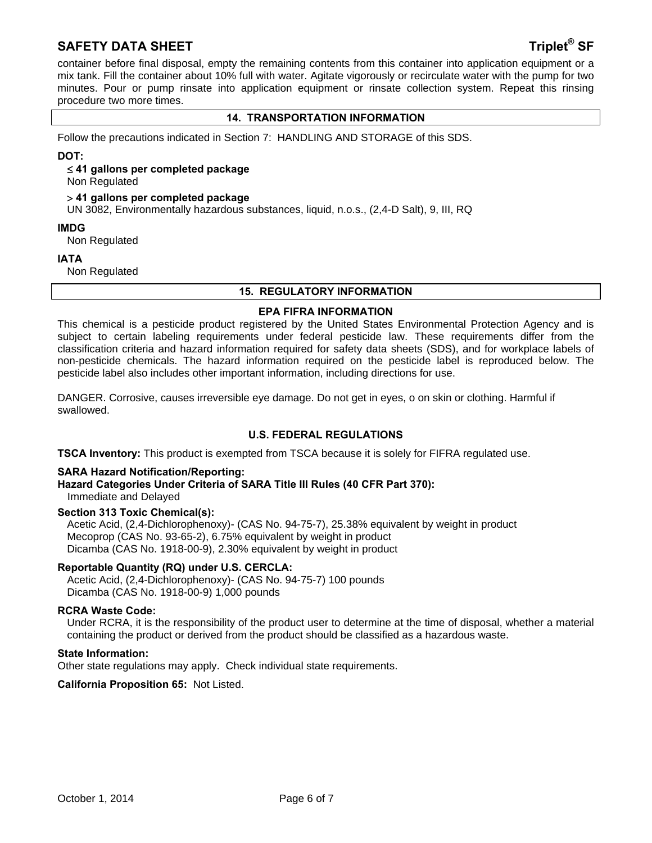# **SAFETY DATA SHEET Triplet<sup>®</sup> SF**

container before final disposal, empty the remaining contents from this container into application equipment or a mix tank. Fill the container about 10% full with water. Agitate vigorously or recirculate water with the pump for two minutes. Pour or pump rinsate into application equipment or rinsate collection system. Repeat this rinsing procedure two more times.

# **14. TRANSPORTATION INFORMATION**

Follow the precautions indicated in Section 7: HANDLING AND STORAGE of this SDS.

#### **DOT:**

#### **41 gallons per completed package**

Non Regulated

#### **41 gallons per completed package**

UN 3082, Environmentally hazardous substances, liquid, n.o.s., (2,4-D Salt), 9, III, RQ

#### **IMDG**

Non Regulated

#### **IATA**

Non Regulated

#### **15. REGULATORY INFORMATION**

#### **EPA FIFRA INFORMATION**

This chemical is a pesticide product registered by the United States Environmental Protection Agency and is subject to certain labeling requirements under federal pesticide law. These requirements differ from the classification criteria and hazard information required for safety data sheets (SDS), and for workplace labels of non-pesticide chemicals. The hazard information required on the pesticide label is reproduced below. The pesticide label also includes other important information, including directions for use.

DANGER. Corrosive, causes irreversible eye damage. Do not get in eyes, o on skin or clothing. Harmful if swallowed.

## **U.S. FEDERAL REGULATIONS**

**TSCA Inventory:** This product is exempted from TSCA because it is solely for FIFRA regulated use.

#### **SARA Hazard Notification/Reporting:**

#### **Hazard Categories Under Criteria of SARA Title III Rules (40 CFR Part 370):** Immediate and Delayed

#### **Section 313 Toxic Chemical(s):**

Acetic Acid, (2,4-Dichlorophenoxy)- (CAS No. 94-75-7), 25.38% equivalent by weight in product Mecoprop (CAS No. 93-65-2), 6.75% equivalent by weight in product Dicamba (CAS No. 1918-00-9), 2.30% equivalent by weight in product

#### **Reportable Quantity (RQ) under U.S. CERCLA:**

Acetic Acid, (2,4-Dichlorophenoxy)- (CAS No. 94-75-7) 100 pounds Dicamba (CAS No. 1918-00-9) 1,000 pounds

#### **RCRA Waste Code:**

Under RCRA, it is the responsibility of the product user to determine at the time of disposal, whether a material containing the product or derived from the product should be classified as a hazardous waste.

#### **State Information:**

Other state regulations may apply. Check individual state requirements.

**California Proposition 65:** Not Listed.